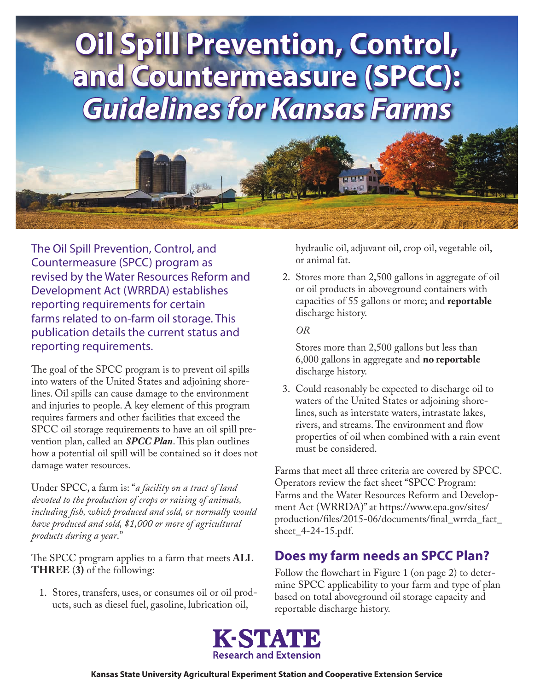

The Oil Spill Prevention, Control, and Countermeasure (SPCC) program as revised by the Water Resources Reform and Development Act (WRRDA) establishes reporting requirements for certain farms related to on-farm oil storage. This publication details the current status and reporting requirements.

The goal of the SPCC program is to prevent oil spills into waters of the United States and adjoining shorelines. Oil spills can cause damage to the environment and injuries to people. A key element of this program requires farmers and other facilities that exceed the SPCC oil storage requirements to have an oil spill prevention plan, called an *SPCC Plan*. This plan outlines how a potential oil spill will be contained so it does not damage water resources.

Under SPCC, a farm is: "*a facility on a tract of land devoted to the production of crops or raising of animals, including fish, which produced and sold, or normally would have produced and sold, \$1,000 or more of agricultural products during a year*."

The SPCC program applies to a farm that meets **ALL THREE** (**3)** of the following:

1. Stores, transfers, uses, or consumes oil or oil products, such as diesel fuel, gasoline, lubrication oil,

hydraulic oil, adjuvant oil, crop oil, vegetable oil, or animal fat.

2. Stores more than 2,500 gallons in aggregate of oil or oil products in aboveground containers with capacities of 55 gallons or more; and **reportable** discharge history.

*OR*

Stores more than 2,500 gallons but less than 6,000 gallons in aggregate and **no reportable** discharge history.

3. Could reasonably be expected to discharge oil to waters of the United States or adjoining shorelines, such as interstate waters, intrastate lakes, rivers, and streams. The environment and flow properties of oil when combined with a rain event must be considered.

Farms that meet all three criteria are covered by SPCC. Operators review the fact sheet "SPCC Program: Farms and the Water Resources Reform and Development Act (WRRDA)" at https://www.epa.gov/sites/ [production/files/2015-06/documents/final\\_wrrda\\_fact\\_](https://www.epa.gov/sites/production/files/2015-06/documents/final_wrrda_fact_sheet_4-24-15.pdf) sheet\_4-24-15.pdf.

## **Does my farm needs an SPCC Plan?**

Follow the flowchart in Figure 1 (on page 2) to determine SPCC applicability to your farm and type of plan based on total aboveground oil storage capacity and reportable discharge history.

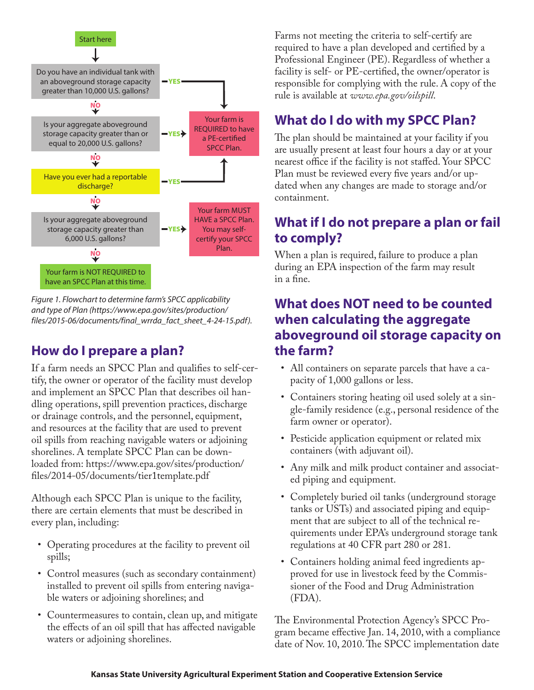

*Figure 1. Flowchart to determine farm's SPCC applicability and type of Plan [\(https://www.epa.gov/sites/production/](https://www.epa.gov/sites/production/files/2015-06/documents/final_wrrda_fact_sheet_4-24-15.pdf) [files/2015-06/documents/final\\_wrrda\\_fact\\_sheet\\_4-24-15.pdf](https://www.epa.gov/sites/production/files/2015-06/documents/final_wrrda_fact_sheet_4-24-15.pdf)).*

## **How do I prepare a plan?**

If a farm needs an SPCC Plan and qualifies to self-certify, the owner or operator of the facility must develop and implement an SPCC Plan that describes oil handling operations, spill prevention practices, discharge or drainage controls, and the personnel, equipment, and resources at the facility that are used to prevent oil spills from reaching navigable waters or adjoining shorelines. A template SPCC Plan can be down[loaded from: https://www.epa.gov/sites/production/](https://www.epa.gov/sites/production/files/2014-05/documents/tier1template.pdf) files/2014-05/documents/tier1template.pdf

Although each SPCC Plan is unique to the facility, there are certain elements that must be described in every plan, including:

- Operating procedures at the facility to prevent oil spills;
- Control measures (such as secondary containment) installed to prevent oil spills from entering navigable waters or adjoining shorelines; and
- Countermeasures to contain, clean up, and mitigate the effects of an oil spill that has affected navigable waters or adjoining shorelines.

Farms not meeting the criteria to self-certify are required to have a plan developed and certified by a Professional Engineer (PE). Regardless of whether a facility is self- or PE-certified, the owner/operator is responsible for complying with the rule. A copy of the rule is available at *[www.epa.gov/oilspill](http://www.epa.gov/oilspill)*.

# **What do I do with my SPCC Plan?**

The plan should be maintained at your facility if you are usually present at least four hours a day or at your nearest office if the facility is not staffed. Your SPCC Plan must be reviewed every five years and/or updated when any changes are made to storage and/or containment.

## **What if I do not prepare a plan or fail to comply?**

When a plan is required, failure to produce a plan during an EPA inspection of the farm may result in a fine.

## **What does NOT need to be counted when calculating the aggregate aboveground oil storage capacity on the farm?**

- All containers on separate parcels that have a capacity of 1,000 gallons or less.
- Containers storing heating oil used solely at a single-family residence (e.g., personal residence of the farm owner or operator).
- Pesticide application equipment or related mix containers (with adjuvant oil).
- Any milk and milk product container and associated piping and equipment.
- Completely buried oil tanks (underground storage tanks or USTs) and associated piping and equipment that are subject to all of the technical requirements under EPA's underground storage tank regulations at 40 CFR part 280 or 281.
- Containers holding animal feed ingredients approved for use in livestock feed by the Commissioner of the Food and Drug Administration (FDA).

The Environmental Protection Agency's SPCC Program became effective Jan. 14, 2010, with a compliance date of Nov. 10, 2010. The SPCC implementation date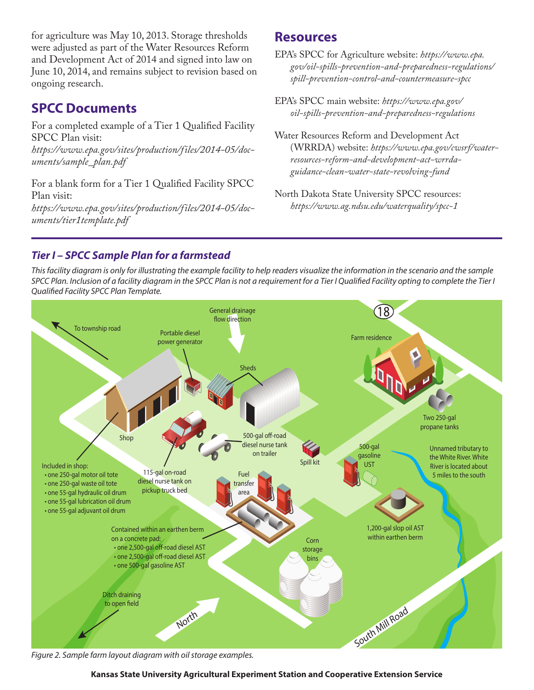for agriculture was May 10, 2013. Storage thresholds were adjusted as part of the Water Resources Reform and Development Act of 2014 and signed into law on June 10, 2014, and remains subject to revision based on ongoing research.

## **SPCC Documents**

For a completed example of a Tier 1 Qualified Facility SPCC Plan visit:

*[https://www.epa.gov/sites/production/files/2014-05/doc](https://www.epa.gov/sites/production/files/2014-05/documents/sample_plan.pdf)[uments/sample\\_plan.pdf](https://www.epa.gov/sites/production/files/2014-05/documents/sample_plan.pdf)*

For a blank form for a Tier 1 Qualified Facility SPCC Plan visit:

*[https://www.epa.gov/sites/production/files/2014-05/doc](https://www.epa.gov/sites/production/files/2014-05/documents/tier1template.pdf)[uments/tier1template.pdf](https://www.epa.gov/sites/production/files/2014-05/documents/tier1template.pdf)*

### **Resources**

EPA's SPCC for Agriculture website: *[https://www.epa.](https://www.epa.gov/oil-spills-prevention-and-preparedness-regulations/spill-prevention-control-and-countermeasure-spcc) [gov/oil-spills-prevention-and-preparedness-regulations/](https://www.epa.gov/oil-spills-prevention-and-preparedness-regulations/spill-prevention-control-and-countermeasure-spcc) [spill-prevention-control-and-countermeasure-spcc](https://www.epa.gov/oil-spills-prevention-and-preparedness-regulations/spill-prevention-control-and-countermeasure-spcc)*

- EPA's SPCC main website: *[https://www.epa.gov/](https://www.epa.gov/oil-spills-prevention-and-preparedness-regulations) [oil-spills-prevention-and-preparedness-regulations](https://www.epa.gov/oil-spills-prevention-and-preparedness-regulations)*
- Water Resources Reform and Development Act (WRRDA) website: *[https://www.epa.gov/cwsrf/water](https://www.epa.gov/cwsrf/water-resources-reform-and-development-act-wrrda-guidance-clean-water-state-revolving-fund)[resources-reform-and-development-act-wrrda](https://www.epa.gov/cwsrf/water-resources-reform-and-development-act-wrrda-guidance-clean-water-state-revolving-fund)[guidance-clean-water-state-revolving-fund](https://www.epa.gov/cwsrf/water-resources-reform-and-development-act-wrrda-guidance-clean-water-state-revolving-fund)*
- North Dakota State University SPCC resources: *<https://www.ag.ndsu.edu/waterquality/spcc-1>*

### *Tier I – SPCC Sample Plan for a farmstead*

*This facility diagram is only for illustrating the example facility to help readers visualize the information in the scenario and the sample SPCC Plan. Inclusion of a facility diagram in the SPCC Plan is not a requirement for a Tier I Qualified Facility opting to complete the Tier I Qualified Facility SPCC Plan Template.*



*Figure 2. Sample farm layout diagram with oil storage examples.*

#### **Kansas State University Agricultural Experiment Station and Cooperative Extension Service**